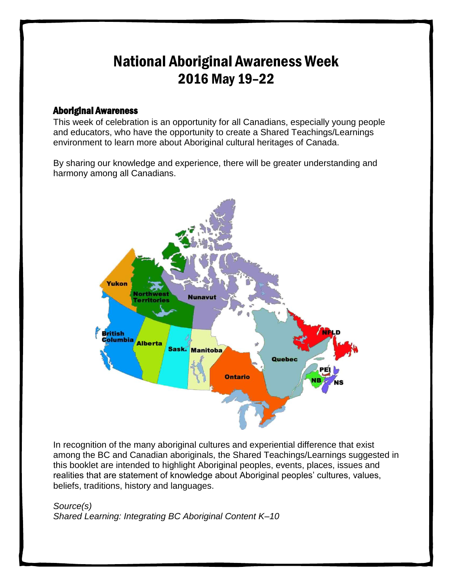## National Aboriginal Awareness Week 2016 May 19–22

### Aboriginal Awareness

This week of celebration is an opportunity for all Canadians, especially young people and educators, who have the opportunity to create a Shared Teachings/Learnings environment to learn more about Aboriginal cultural heritages of Canada.

By sharing our knowledge and experience, there will be greater understanding and harmony among all Canadians.



In recognition of the many aboriginal cultures and experiential difference that exist among the BC and Canadian aboriginals, the Shared Teachings/Learnings suggested in this booklet are intended to highlight Aboriginal peoples, events, places, issues and realities that are statement of knowledge about Aboriginal peoples' cultures, values, beliefs, traditions, history and languages.

*Source(s) Shared Learning: Integrating BC Aboriginal Content K–10*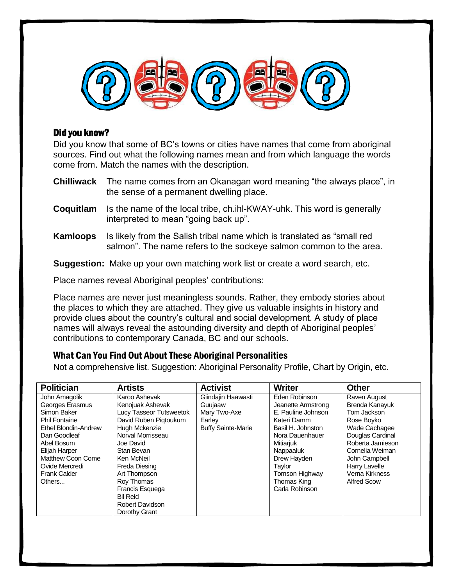

#### Did you know?

Did you know that some of BC's towns or cities have names that come from aboriginal sources. Find out what the following names mean and from which language the words come from. Match the names with the description.

- **Chilliwack** The name comes from an Okanagan word meaning "the always place", in the sense of a permanent dwelling place.
- **Coquitlam** Is the name of the local tribe, ch.ihl-KWAY-uhk. This word is generally interpreted to mean "going back up".
- **Kamloops** Is likely from the Salish tribal name which is translated as "small red salmon". The name refers to the sockeye salmon common to the area.

**Suggestion:** Make up your own matching work list or create a word search, etc.

Place names reveal Aboriginal peoples' contributions:

Place names are never just meaningless sounds. Rather, they embody stories about the places to which they are attached. They give us valuable insights in history and provide clues about the country's cultural and social development. A study of place names will always reveal the astounding diversity and depth of Aboriginal peoples' contributions to contemporary Canada, BC and our schools.

### What Can You Find Out About These Aboriginal Personalities

Not a comprehensive list. Suggestion: Aboriginal Personality Profile, Chart by Origin, etc.

| <b>Politician</b>    | <b>Artists</b>          | <b>Activist</b>           | <b>Writer</b>      | <b>Other</b>       |
|----------------------|-------------------------|---------------------------|--------------------|--------------------|
| John Amagolik        | Karoo Ashevak           | Giindajin Haawasti        | Eden Robinson      | Raven August       |
| Georges Erasmus      | Kenojuak Ashevak        | Guujaaw                   | Jeanette Armstrong | Brenda Kanayuk     |
| Simon Baker          | Lucy Tasseor Tutsweetok | Mary Two-Axe              | E. Pauline Johnson | Tom Jackson        |
| <b>Phil Fontaine</b> | David Ruben Piqtoukum   | Earley                    | Kateri Damm        | Rose Boyko         |
| Ethel Blondin-Andrew | Hugh Mckenzie           | <b>Buffy Sainte-Marie</b> | Basil H. Johnston  | Wade Cachagee      |
| Dan Goodleaf         | Norval Morrisseau       |                           | Nora Dauenhauer    | Douglas Cardinal   |
| Abel Bosum           | Joe David               |                           | Mitiariuk          | Roberta Jamieson   |
| Elijah Harper        | Stan Bevan              |                           | Nappaaluk          | Cornelia Weiman    |
| Matthew Coon Come    | Ken McNeil              |                           | Drew Hayden        | John Campbell      |
| Ovide Mercredi       | Freda Diesing           |                           | Taylor             | Harry Lavelle      |
| <b>Frank Calder</b>  | Art Thompson            |                           | Tomson Highway     | Verna Kirkness     |
| Others               | Roy Thomas              |                           | Thomas King        | <b>Alfred Scow</b> |
|                      | Francis Esquega         |                           | Carla Robinson     |                    |
|                      | <b>Bil Reid</b>         |                           |                    |                    |
|                      | Robert Davidson         |                           |                    |                    |
|                      | Dorothy Grant           |                           |                    |                    |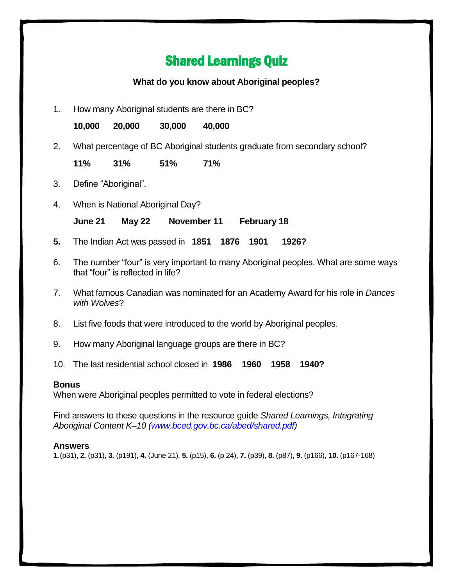## Shared Learnings Quiz

## **What do you know about Aboriginal peoples?**

1. How many Aboriginal students are there in BC?

**10,000 20,000 30,000 40,000**

2. What percentage of BC Aboriginal students graduate from secondary school?

**11% 31% 51% 71%**

- 3. Define "Aboriginal".
- 4. When is National Aboriginal Day?

**June 21 May 22 November 11 February 18** 

- **5.** The Indian Act was passed in **1851 1876 1901 1926?**
- 6. The number "four" is very important to many Aboriginal peoples. What are some ways that "four" is reflected in life?
- 7. What famous Canadian was nominated for an Academy Award for his role in *Dances with Wolves*?
- 8. List five foods that were introduced to the world by Aboriginal peoples.
- 9. How many Aboriginal language groups are there in BC?
- 10. The last residential school closed in **1986 1960 1958 1940?**

### **Bonus**

When were Aboriginal peoples permitted to vote in federal elections?

Find answers to these questions in the resource guide *Shared Learnings, Integrating Aboriginal Content K–10 [\(www.bced.gov.bc.ca/abed/shared.pdf\)](http://www.bced.gov.bc.ca/abed/shared.pdf)*

### **Answers**

**1.**(p31), **2.** (p31), **3.** (p191), **4.** (June 21), **5.** (p15), **6.** (p 24), **7.** (p39), **8.** (p87), **9.** (p166), **10.** (p167-168)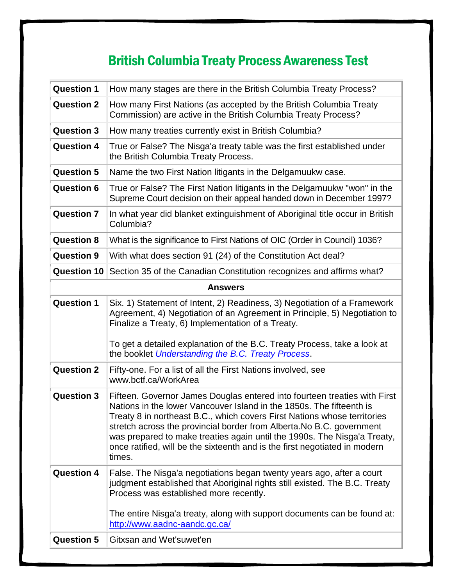# British Columbia Treaty Process Awareness Test

| <b>Question 1</b>  | How many stages are there in the British Columbia Treaty Process?                                                                                                                                                                                                                                                                                                                                                                                                          |  |
|--------------------|----------------------------------------------------------------------------------------------------------------------------------------------------------------------------------------------------------------------------------------------------------------------------------------------------------------------------------------------------------------------------------------------------------------------------------------------------------------------------|--|
| <b>Question 2</b>  | How many First Nations (as accepted by the British Columbia Treaty<br>Commission) are active in the British Columbia Treaty Process?                                                                                                                                                                                                                                                                                                                                       |  |
| <b>Question 3</b>  | How many treaties currently exist in British Columbia?                                                                                                                                                                                                                                                                                                                                                                                                                     |  |
| <b>Question 4</b>  | True or False? The Nisga'a treaty table was the first established under<br>the British Columbia Treaty Process.                                                                                                                                                                                                                                                                                                                                                            |  |
| <b>Question 5</b>  | Name the two First Nation litigants in the Delgamuukw case.                                                                                                                                                                                                                                                                                                                                                                                                                |  |
| <b>Question 6</b>  | True or False? The First Nation litigants in the Delgamuukw "won" in the<br>Supreme Court decision on their appeal handed down in December 1997?                                                                                                                                                                                                                                                                                                                           |  |
| <b>Question 7</b>  | In what year did blanket extinguishment of Aboriginal title occur in British<br>Columbia?                                                                                                                                                                                                                                                                                                                                                                                  |  |
| <b>Question 8</b>  | What is the significance to First Nations of OIC (Order in Council) 1036?                                                                                                                                                                                                                                                                                                                                                                                                  |  |
| <b>Question 9</b>  | With what does section 91 (24) of the Constitution Act deal?                                                                                                                                                                                                                                                                                                                                                                                                               |  |
| <b>Question 10</b> | Section 35 of the Canadian Constitution recognizes and affirms what?                                                                                                                                                                                                                                                                                                                                                                                                       |  |
| <b>Answers</b>     |                                                                                                                                                                                                                                                                                                                                                                                                                                                                            |  |
| <b>Question 1</b>  | Six. 1) Statement of Intent, 2) Readiness, 3) Negotiation of a Framework<br>Agreement, 4) Negotiation of an Agreement in Principle, 5) Negotiation to<br>Finalize a Treaty, 6) Implementation of a Treaty.<br>To get a detailed explanation of the B.C. Treaty Process, take a look at<br>the booklet Understanding the B.C. Treaty Process.                                                                                                                               |  |
| <b>Question 2</b>  | Fifty-one. For a list of all the First Nations involved, see<br>www.bctf.ca/WorkArea                                                                                                                                                                                                                                                                                                                                                                                       |  |
| <b>Question 3</b>  | Fifteen. Governor James Douglas entered into fourteen treaties with First<br>Nations in the lower Vancouver Island in the 1850s. The fifteenth is<br>Treaty 8 in northeast B.C., which covers First Nations whose territories<br>stretch across the provincial border from Alberta. No B.C. government<br>was prepared to make treaties again until the 1990s. The Nisga'a Treaty,<br>once ratified, will be the sixteenth and is the first negotiated in modern<br>times. |  |
| <b>Question 4</b>  | False. The Nisga'a negotiations began twenty years ago, after a court<br>judgment established that Aboriginal rights still existed. The B.C. Treaty<br>Process was established more recently.<br>The entire Nisga'a treaty, along with support documents can be found at:                                                                                                                                                                                                  |  |
|                    | http://www.aadnc-aandc.gc.ca/                                                                                                                                                                                                                                                                                                                                                                                                                                              |  |
| <b>Question 5</b>  | Gitxsan and Wet'suwet'en                                                                                                                                                                                                                                                                                                                                                                                                                                                   |  |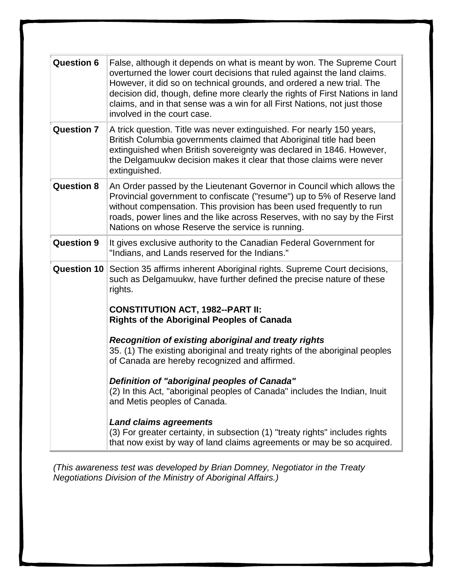| <b>Question 6</b>  | False, although it depends on what is meant by won. The Supreme Court<br>overturned the lower court decisions that ruled against the land claims.<br>However, it did so on technical grounds, and ordered a new trial. The<br>decision did, though, define more clearly the rights of First Nations in land<br>claims, and in that sense was a win for all First Nations, not just those<br>involved in the court case. |
|--------------------|-------------------------------------------------------------------------------------------------------------------------------------------------------------------------------------------------------------------------------------------------------------------------------------------------------------------------------------------------------------------------------------------------------------------------|
| <b>Question 7</b>  | A trick question. Title was never extinguished. For nearly 150 years,<br>British Columbia governments claimed that Aboriginal title had been<br>extinguished when British sovereignty was declared in 1846. However,<br>the Delgamuukw decision makes it clear that those claims were never<br>extinguished.                                                                                                            |
| <b>Question 8</b>  | An Order passed by the Lieutenant Governor in Council which allows the<br>Provincial government to confiscate ("resume") up to 5% of Reserve land<br>without compensation. This provision has been used frequently to run<br>roads, power lines and the like across Reserves, with no say by the First<br>Nations on whose Reserve the service is running.                                                              |
| <b>Question 9</b>  | It gives exclusive authority to the Canadian Federal Government for<br>"Indians, and Lands reserved for the Indians."                                                                                                                                                                                                                                                                                                   |
| <b>Question 10</b> | Section 35 affirms inherent Aboriginal rights. Supreme Court decisions,<br>such as Delgamuukw, have further defined the precise nature of these<br>rights.                                                                                                                                                                                                                                                              |
|                    | <b>CONSTITUTION ACT, 1982--PART II:</b><br><b>Rights of the Aboriginal Peoples of Canada</b>                                                                                                                                                                                                                                                                                                                            |
|                    | Recognition of existing aboriginal and treaty rights<br>35. (1) The existing aboriginal and treaty rights of the aboriginal peoples<br>of Canada are hereby recognized and affirmed.                                                                                                                                                                                                                                    |
|                    | Definition of "aboriginal peoples of Canada"<br>(2) In this Act, "aboriginal peoples of Canada" includes the Indian, Inuit<br>and Metis peoples of Canada.                                                                                                                                                                                                                                                              |
|                    | <b>Land claims agreements</b><br>(3) For greater certainty, in subsection (1) "treaty rights" includes rights<br>that now exist by way of land claims agreements or may be so acquired.                                                                                                                                                                                                                                 |

*(This awareness test was developed by Brian Domney, Negotiator in the Treaty Negotiations Division of the Ministry of Aboriginal Affairs.)*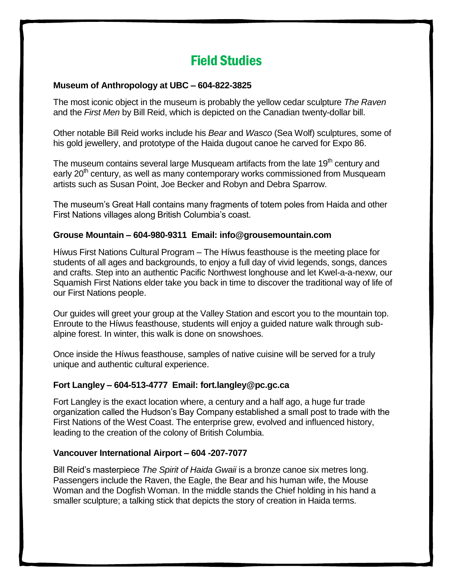## Field Studies

### **Museum of Anthropology at UBC – 604-822-3825**

The most iconic object in the museum is probably the yellow cedar sculpture *The Raven* and the *First Men* by Bill Reid, which is depicted on the Canadian twenty-dollar bill.

Other notable Bill Reid works include his *Bear* and *Wasco* (Sea Wolf) sculptures, some of his gold jewellery, and prototype of the Haida dugout canoe he carved for Expo 86.

The museum contains several large Musqueam artifacts from the late 19<sup>th</sup> century and early 20<sup>th</sup> century, as well as many contemporary works commissioned from Musqueam artists such as Susan Point, Joe Becker and Robyn and Debra Sparrow.

The museum's Great Hall contains many fragments of totem poles from Haida and other First Nations villages along British Columbia's coast.

### **Grouse Mountain – 604-980-9311 Email: info@grousemountain.com**

Híwus First Nations Cultural Program – The Híwus feasthouse is the meeting place for students of all ages and backgrounds, to enjoy a full day of vivid legends, songs, dances and crafts. Step into an authentic Pacific Northwest longhouse and let Kwel-a-a-nexw, our Squamish First Nations elder take you back in time to discover the traditional way of life of our First Nations people.

Our guides will greet your group at the Valley Station and escort you to the mountain top. Enroute to the Híwus feasthouse, students will enjoy a guided nature walk through subalpine forest. In winter, this walk is done on snowshoes.

Once inside the Híwus feasthouse, samples of native cuisine will be served for a truly unique and authentic cultural experience.

### **Fort Langley – 604-513-4777 Email: fort.langley@pc.gc.ca**

Fort Langley is the exact location where, a century and a half ago, a huge fur trade organization called the Hudson's Bay Company established a small post to trade with the First Nations of the West Coast. The enterprise grew, evolved and influenced history, leading to the creation of the colony of British Columbia.

### **Vancouver International Airport – 604 -207-7077**

Bill Reid's masterpiece *The Spirit of Haida Gwaii* is a bronze canoe six metres long. Passengers include the Raven, the Eagle, the Bear and his human wife, the Mouse Woman and the Dogfish Woman. In the middle stands the Chief holding in his hand a smaller sculpture; a talking stick that depicts the story of creation in Haida terms.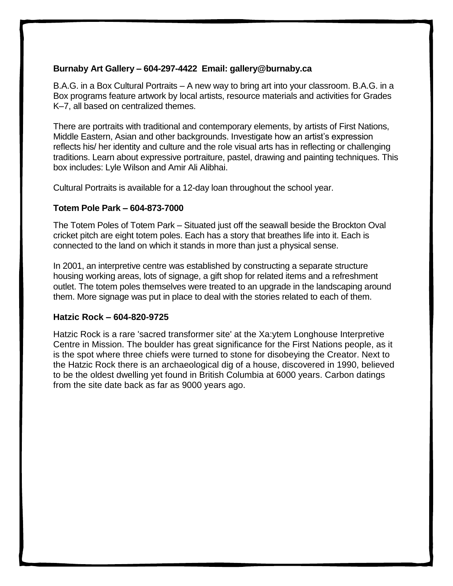### **Burnaby Art Gallery – 604-297-4422 Email: gallery@burnaby.ca**

B.A.G. in a Box Cultural Portraits – A new way to bring art into your classroom. B.A.G. in a Box programs feature artwork by local artists, resource materials and activities for Grades K–7, all based on centralized themes.

There are portraits with traditional and contemporary elements, by artists of First Nations, Middle Eastern, Asian and other backgrounds. Investigate how an artist's expression reflects his/ her identity and culture and the role visual arts has in reflecting or challenging traditions. Learn about expressive portraiture, pastel, drawing and painting techniques. This box includes: Lyle Wilson and Amir Ali Alibhai.

Cultural Portraits is available for a 12-day loan throughout the school year.

### **Totem Pole Park – 604-873-7000**

The Totem Poles of Totem Park – Situated just off the seawall beside the Brockton Oval cricket pitch are eight totem poles. Each has a story that breathes life into it. Each is connected to the land on which it stands in more than just a physical sense.

In 2001, an interpretive centre was established by constructing a separate structure housing working areas, lots of signage, a gift shop for related items and a refreshment outlet. The totem poles themselves were treated to an upgrade in the landscaping around them. More signage was put in place to deal with the stories related to each of them.

### **Hatzic Rock – 604-820-9725**

Hatzic Rock is a rare 'sacred transformer site' at the Xa:ytem Longhouse Interpretive Centre in Mission. The boulder has great significance for the First Nations people, as it is the spot where three chiefs were turned to stone for disobeying the Creator. Next to the Hatzic Rock there is an archaeological dig of a house, discovered in 1990, believed to be the oldest dwelling yet found in British Columbia at 6000 years. Carbon datings from the site date back as far as 9000 years ago.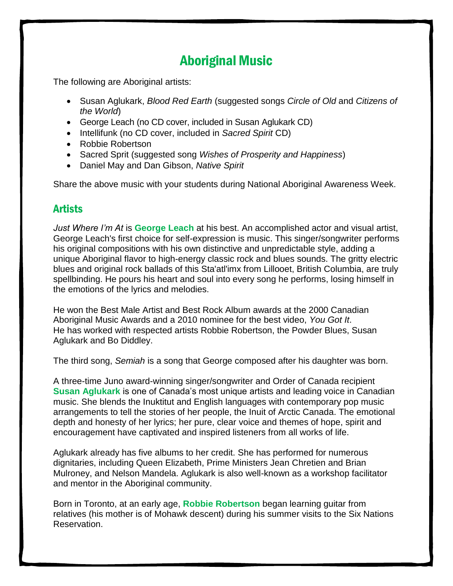## Aboriginal Music

The following are Aboriginal artists:

- Susan Aglukark, *Blood Red Earth* (suggested songs *Circle of Old* and *Citizens of the World*)
- George Leach (no CD cover, included in Susan Aglukark CD)
- Intellifunk (no CD cover, included in *Sacred Spirit* CD)
- Robbie Robertson
- Sacred Sprit (suggested song *Wishes of Prosperity and Happiness*)
- Daniel May and Dan Gibson, *Native Spirit*

Share the above music with your students during National Aboriginal Awareness Week.

## **Artists**

*Just Where I'm At* is **George Leach** at his best. An accomplished actor and visual artist, George Leach's first choice for self-expression is music. This singer/songwriter performs his original compositions with his own distinctive and unpredictable style, adding a unique Aboriginal flavor to high-energy classic rock and blues sounds. The gritty electric blues and original rock ballads of this Sta'atl'imx from Lillooet, British Columbia, are truly spellbinding. He pours his heart and soul into every song he performs, losing himself in the emotions of the lyrics and melodies.

He won the Best Male Artist and Best Rock Album awards at the 2000 Canadian Aboriginal Music Awards and a 2010 nominee for the best video, *You Got It*. He has worked with respected artists Robbie Robertson, the Powder Blues, Susan Aglukark and Bo Diddley.

The third song, *Semiah* is a song that George composed after his daughter was born.

A three-time Juno award-winning singer/songwriter and Order of Canada recipient **Susan Aglukark** is one of Canada's most unique artists and leading voice in Canadian music. She blends the Inuktitut and English languages with contemporary pop music arrangements to tell the stories of her people, the Inuit of Arctic Canada. The emotional depth and honesty of her lyrics; her pure, clear voice and themes of hope, spirit and encouragement have captivated and inspired listeners from all works of life.

Aglukark already has five albums to her credit. She has performed for numerous dignitaries, including Queen Elizabeth, Prime Ministers Jean Chretien and Brian Mulroney, and Nelson Mandela. Aglukark is also well-known as a workshop facilitator and mentor in the Aboriginal community.

Born in Toronto, at an early age, **Robbie Robertson** began learning guitar from relatives (his mother is of Mohawk descent) during his summer visits to the Six Nations Reservation.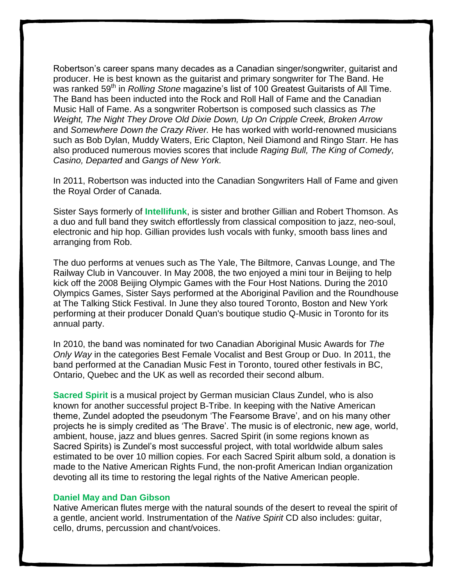Robertson's career spans many decades as a Canadian singer/songwriter, guitarist and producer. He is best known as the guitarist and primary songwriter for The Band. He was ranked 59<sup>th</sup> in *Rolling Stone* magazine's list of 100 Greatest Guitarists of All Time. The Band has been inducted into the Rock and Roll Hall of Fame and the Canadian Music Hall of Fame. As a songwriter Robertson is composed such classics as *The Weight, The Night They Drove Old Dixie Down, Up On Cripple Creek, Broken Arrow*  and *Somewhere Down the Crazy River.* He has worked with world-renowned musicians such as Bob Dylan, Muddy Waters, Eric Clapton, Neil Diamond and Ringo Starr. He has also produced numerous movies scores that include *Raging Bull, The King of Comedy, Casino, Departed* and *Gangs of New York.*

In 2011, Robertson was inducted into the Canadian Songwriters Hall of Fame and given the Royal Order of Canada.

Sister Says formerly of **Intellifunk**, is sister and brother Gillian and Robert Thomson. As a duo and full band they switch effortlessly from classical composition to jazz, neo-soul, electronic and hip hop. Gillian provides lush vocals with funky, smooth bass lines and arranging from Rob.

The duo performs at venues such as The Yale, The Biltmore, Canvas Lounge, and The Railway Club in Vancouver. In May 2008, the two enjoyed a mini tour in Beijing to help kick off the 2008 Beijing Olympic Games with the Four Host Nations. During the 2010 Olympics Games, Sister Says performed at the Aboriginal Pavilion and the Roundhouse at The Talking Stick Festival. In June they also toured Toronto, Boston and New York performing at their producer Donald Quan's boutique studio Q-Music in Toronto for its annual party.

In 2010, the band was nominated for two Canadian Aboriginal Music Awards for *The Only Way* in the categories Best Female Vocalist and Best Group or Duo. In 2011, the band performed at the Canadian Music Fest in Toronto, toured other festivals in BC, Ontario, Quebec and the UK as well as recorded their second album.

**Sacred Spirit** is a musical project by German musician Claus Zundel, who is also known for another successful project B-Tribe. In keeping with the Native American theme, Zundel adopted the pseudonym 'The Fearsome Brave', and on his many other projects he is simply credited as 'The Brave'. The music is of electronic, new age, world, ambient, house, jazz and blues genres. Sacred Spirit (in some regions known as Sacred Spirits) is Zundel's most successful project, with total worldwide album sales estimated to be over 10 million copies. For each Sacred Spirit album sold, a donation is made to the Native American Rights Fund, the non-profit American Indian organization devoting all its time to restoring the legal rights of the Native American people.

#### **Daniel May and Dan Gibson**

Native American flutes merge with the natural sounds of the desert to reveal the spirit of a gentle, ancient world. Instrumentation of the *Native Spirit* CD also includes: guitar, cello, drums, percussion and chant/voices.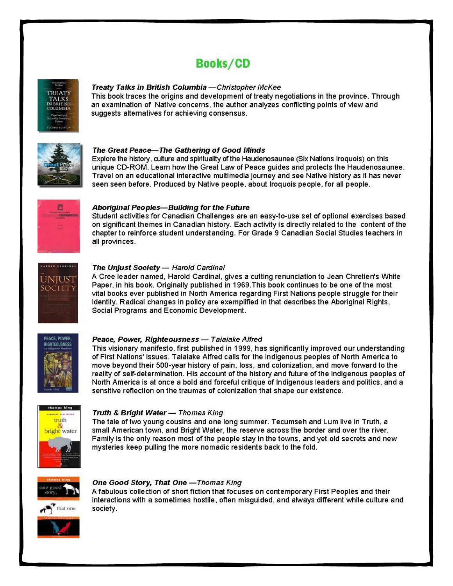## **Books/CD**



#### Treaty Talks in British Columbia - Christopher McKee

This book traces the origins and development of treaty negotiations in the province. Through an examination of Native concerns, the author analyzes conflicting points of view and suggests alternatives for achieving consensus.



#### The Great Peace-The Gathering of Good Minds

Explore the history, culture and spirituality of the Haudenosaunee (Six Nations Iroquois) on this unique CD-ROM. Learn how the Great Law of Peace guides and protects the Haudenosaunee. Travel on an educational interactive multimedia journey and see Native history as it has never seen seen before. Produced by Native people, about Iroquois people, for all people.



#### Aboriginal Peoples-Building for the Future

Student activities for Canadian Challenges are an easy-to-use set of optional exercises based on significant themes in Canadian history. Each activity is directly related to the content of the chapter to reinforce student understanding. For Grade 9 Canadian Social Studies teachers in all provinces.



#### The Unjust Society - Harold Cardinal

A Cree leader named, Harold Cardinal, gives a cutting renunciation to Jean Chretien's White Paper, in his book. Originally published in 1969. This book continues to be one of the most vital books ever published in North America regarding First Nations people struggle for their identity. Radical changes in policy are exemplified in that describes the Aboriginal Rights, Social Programs and Economic Development.



#### Peace, Power, Righteousness - Taiaiake Alfred

This visionary manifesto, first published in 1999, has significantly improved our understanding of First Nations' issues. Taiaiake Alfred calls for the indigenous peoples of North America to move beyond their 500-year history of pain, loss, and colonization, and move forward to the reality of self-determination. His account of the history and future of the indigenous peoples of North America is at once a bold and forceful critique of Indigenous leaders and politics, and a sensitive reflection on the traumas of colonization that shape our existence.



#### Truth & Bright Water - Thomas King

The tale of two young cousins and one long summer. Tecumseh and Lum live in Truth, a small American town, and Bright Water, the reserve across the border and over the river. Family is the only reason most of the people stay in the towns, and yet old secrets and new mysteries keep pulling the more nomadic residents back to the fold.



#### One Good Story, That One - Thomas King

A fabulous collection of short fiction that focuses on contemporary First Peoples and their interactions with a sometimes hostile, often misquided, and always different white culture and society.